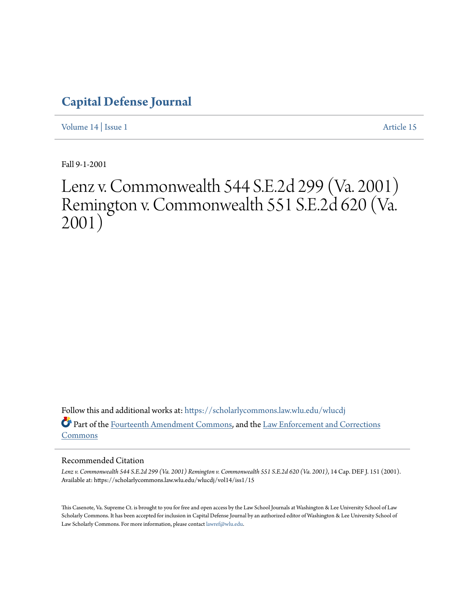# **[Capital Defense Journal](https://scholarlycommons.law.wlu.edu/wlucdj?utm_source=scholarlycommons.law.wlu.edu%2Fwlucdj%2Fvol14%2Fiss1%2F15&utm_medium=PDF&utm_campaign=PDFCoverPages)**

[Volume 14](https://scholarlycommons.law.wlu.edu/wlucdj/vol14?utm_source=scholarlycommons.law.wlu.edu%2Fwlucdj%2Fvol14%2Fiss1%2F15&utm_medium=PDF&utm_campaign=PDFCoverPages) | [Issue 1](https://scholarlycommons.law.wlu.edu/wlucdj/vol14/iss1?utm_source=scholarlycommons.law.wlu.edu%2Fwlucdj%2Fvol14%2Fiss1%2F15&utm_medium=PDF&utm_campaign=PDFCoverPages) [Article 15](https://scholarlycommons.law.wlu.edu/wlucdj/vol14/iss1/15?utm_source=scholarlycommons.law.wlu.edu%2Fwlucdj%2Fvol14%2Fiss1%2F15&utm_medium=PDF&utm_campaign=PDFCoverPages)

Fall 9-1-2001

# Lenz v. Commonwealth 544 S.E.2d 299 (Va. 2001) Remington v. Commonwealth 551 S.E.2d 620 (Va. 2001)

Follow this and additional works at: [https://scholarlycommons.law.wlu.edu/wlucdj](https://scholarlycommons.law.wlu.edu/wlucdj?utm_source=scholarlycommons.law.wlu.edu%2Fwlucdj%2Fvol14%2Fiss1%2F15&utm_medium=PDF&utm_campaign=PDFCoverPages) Part of the [Fourteenth Amendment Commons,](http://network.bepress.com/hgg/discipline/1116?utm_source=scholarlycommons.law.wlu.edu%2Fwlucdj%2Fvol14%2Fiss1%2F15&utm_medium=PDF&utm_campaign=PDFCoverPages) and the [Law Enforcement and Corrections](http://network.bepress.com/hgg/discipline/854?utm_source=scholarlycommons.law.wlu.edu%2Fwlucdj%2Fvol14%2Fiss1%2F15&utm_medium=PDF&utm_campaign=PDFCoverPages) [Commons](http://network.bepress.com/hgg/discipline/854?utm_source=scholarlycommons.law.wlu.edu%2Fwlucdj%2Fvol14%2Fiss1%2F15&utm_medium=PDF&utm_campaign=PDFCoverPages)

# Recommended Citation

*Lenz v. Commonwealth 544 S.E.2d 299 (Va. 2001) Remington v. Commonwealth 551 S.E.2d 620 (Va. 2001)*, 14 Cap. DEF J. 151 (2001). Available at: https://scholarlycommons.law.wlu.edu/wlucdj/vol14/iss1/15

This Casenote, Va. Supreme Ct. is brought to you for free and open access by the Law School Journals at Washington & Lee University School of Law Scholarly Commons. It has been accepted for inclusion in Capital Defense Journal by an authorized editor of Washington & Lee University School of Law Scholarly Commons. For more information, please contact [lawref@wlu.edu.](mailto:lawref@wlu.edu)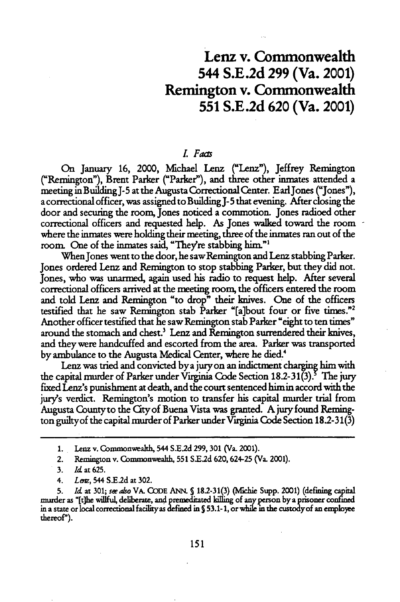# Lenz v. Commonwealth 544 **S.E.2d 299** (Va. 2001) Remington v. Commonwealth **551 S.E.2d 620** (Va. 2001)

## *. Fats*

On January **16,** 2000, Michael Lenz ("Lenz"), Jeffrey Remington ("Remington"), Brent Parker ("Parker"), and three other inmates attended a meeting in Building J-5 at the Augusta Correctional Center. EarlJones ("Jones"), a correctional officer, was assigned to Building **J-** 5 that evening. After closing the door and securing the room, Jones noticed a commotion. Jones radioed other correctional officers and requested help. As Jones walked toward the room where the inmates were holding their meeting, three of the inmates ran out of the room. One of the inmates said, "They're stabbing him."'

When Jones went to the door, he saw Remington and Lenz stabbing Parker. Jones ordered Lenz and Remington to stop stabbing Parker, but they did not. Jones, who was unarmed, again used his radio to request help. After several correctional officers arrived at the meeting room, the officers entered the room and told Lenz and Remington "to drop" their knives. One of the officers testified that he saw Remington stab Parker "[a]bout four or five times."<sup>2</sup> Another officer testified that he saw Remington stab Parker "eight to ten times" around the stomach and chest.<sup>3</sup> Lenz and Remington surrendered their knives, and they were handcuffed and escorted from the area. Parker was transported by ambulance to the Augusta Medical Center, where he died.<sup>4</sup>

Lenz was tried and convicted by a jury on an indictment charging him with the capital murder of Parker under Virginia Code Section 18.2-31(3).<sup>5</sup> The jury fixed Lenz's punishment at death, and the court sentenced him in accord with the jury's verdict. Remington's motion to transfer his capital murder trial from Augusta County to the City of Buena Vista was granted. A jury found Remington guilty of the capital murder of Parker under Virginia Code Section 18.2-31(3)

- **3. Id** at 625.
- 4. *Lem,* 544 **SE.2d** at **302.**

**5.** *Id* at **301;** *se aso* VA. **CODE ANN. S 18.2-31(3)** (hlichie Supp. 2001) (defining cpital murder as "[t]he willful, deliberate, and premeditated killing of anyperson by a prisoner confied in a state or local correctional facility as defined in S 53.1-1, or while in the custody of an employee thereof").

**<sup>1.</sup>** Lenz v. Commonwealth, 544 **S.E2d 299, 301** (Va. 2001).

<sup>2.</sup> Remington v. Commonwealth, **551 S.E.2d 620,624-25** (Va. 2001).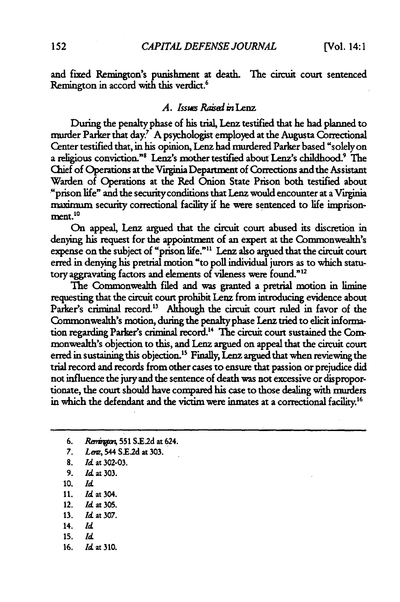and fixed Remington's punishment at death. The circuit court sentenced Remington in accord with this verdict.<sup>6</sup>

## *A.* Issus Raised in *Lenz*

During the penalty phase of his trial, Lenz testified that he had planned to murder Parker that day.<sup>7</sup> A psychologist employed at the Augusta Correctional Center testified that, in his opinion, Lenz had murdered Parker based "solelyon a religious conviction."<sup>8</sup> Lenz's mother testified about Lenz's childhood.<sup>9</sup> The Chief of Operations at the Viginia Department of Corrections and the Assistant Warden of Operations at the Red Onion State Prison both testified about "prison life" and the securityconditions that Lenz would encounter at a Viuginia maximum security correctional facility if he were sentenced to life imprisonment.<sup>10</sup>

On appeal, Lenz argued that the circuit court abused its discretion in denying his request for the appointment of an expert at the Commonwealth's expense on the subject of "prison life."" Lenz also argued that the circuit court erred in denying his pretrial motion "to poll individual jurors as to which statutory aggravating factors and elements of vileness were found."<sup>12</sup>

The Commonwealth filed and was granted a pretrial motion in limine requesting that the circuit court prohibit Lenz from introducing evidence about Parker's criminal record.<sup>13</sup> Although the circuit court ruled in favor of the Commonwealth's motion, during the penalty phase Lenz tried to elicit information regarding Parker's criminal record.'4 The circuit court sustained the Commonwealth's objection to this, and Lenz argued on appeal that the circuit court erred in sustaining this objection.<sup>15</sup> Finally, Lenz argued that when reviewing the trial record and records from other cases to ensure that passion or prejudice did not influence the jury and the sentence of death was not excessive or disproportionate, the court should have compared his case to those dealing with murders in which the defendant and the victim were inmates at a correctional facility.<sup>16</sup>

- 6. Rain, **551 SE.2d** at 624.
- **7.** Lim, 544 **S.E2d** at **303.**
- **8.** *Id.* at **302-03.**
- 9. *Id.* at **303.**
- **10.** *Id.*
- **11.** Id at304.
- 12. **Id** at **305.**
- **13. Id at 307.**
- 14. **Id**
- **15.** *Id*
- 16. *Id.* at 310.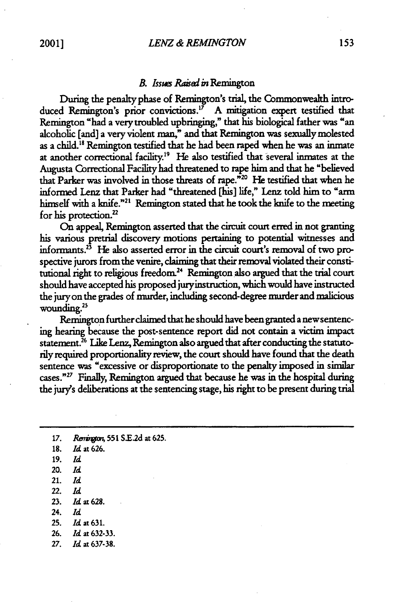#### *B.* **Issus** *Raisad* **in** Remington

During the penalty phase of Remington's trial, the Commonwealth introduced Remington's prior convictions.<sup>17</sup> A mitigation expert testified that Remington "had a very troubled upbringing," that his biological father was "an alcoholic [and] a very violent man," and that Remington was sexually molested as a child.<sup>18</sup> Remington testified that he had been raped when he was an inmate at another correctional facility.<sup>19</sup> He also testified that several inmates at the Augusta Correctional Facility had threatened to rape him and that he "believed that Parker was involved in those threats of rape."<sup>20</sup> He testified that when he informed Lenz that Parker had "threatened [his] life," Lenz told him to **arm** himself with a knife."<sup>21</sup> Remington stated that he took the knife to the meeting for his protection.

On appeal, Remington asserted that the circuit court erred in not granting his various pretrial discovery motions pertaining to potential witnesses and informants.<sup>23</sup> He also asserted error in the circuit court's removal of two prospective jurors from the venire, claiming that their removal violated their constitutional right to religious freedom.<sup>24</sup> Remington also argued that the trial court should have accepted his proposed juryinstruction, which would have instructed the jury on the grades of murder, including second-degree murder and malicious wounding.<sup>25</sup>

Remington further claimed that he should have been granted a new sentencing hearing because the post-sentence report did not contain a victim impact statement.<sup>26</sup> Like Lenz, Remington also argued that after conducting the statutorily required proportionality review, the court should have found that the death sentence was "excessive or disproportionate to the penalty imposed in similar cases." 27 Finally, Remington argued that because he was in the hospital during the jury's deliberations at the sentencing stage, his right to be present during trial

- **20.** *Id*
- 21. *Id*
- 22. *Id*
- 23. **Id** at 628.
- 24. *Id*
- **25. Id** at 631.
- **26. Id** at 632-33.
- **27.** Id at 637-38.

<sup>17.</sup> *Remington*, 551 S.E.2d at 625.

<sup>18.</sup> **Id** at 626.

<sup>19.</sup> *Id*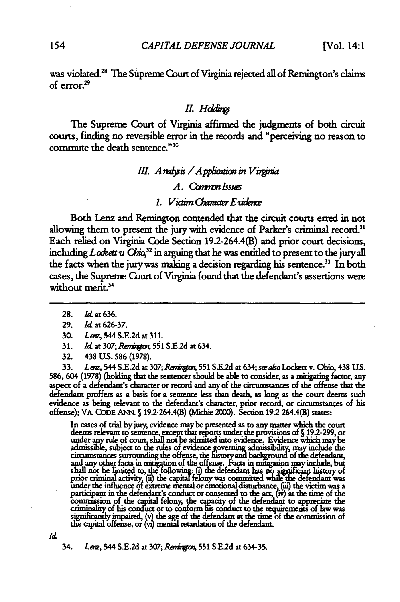was violated.<sup>28</sup> The Supreme Court of Virginia rejected all of Remington's claims of  $error<sup>29</sup>$ 

#### *I. Hddr*

The Supreme Court of Virginia affirmed the judgments of both circuit courts, finding no reversible error in the records and "perceiving no reason to commute the death sentence."30

# *III.* A rabsis / A pplication in V irginia

#### A. Common Issues

# *1. Victim Chanacter E vidence*

Both Lenz and Remington contended that the circuit courts erred in not allowing them to present the jury with evidence of Parker's criminal record.<sup>31</sup> Each relied on Virginia Code Section 19.2-264.4(B) and prior court decisions, including *Lodett u* Ohio,<sup>32</sup> in arguing that he was entitled to present to the juryall the facts when the jury was making a decision regarding his sentence.<sup>33</sup> In both cases, the Supreme Court of Virginia found that the defendant's assertions were without merit.<sup>34</sup>

33. *Len,* 544 S.E.2d at 307; *Rerington*, 551 S.E.2d at 634; *see also* Lockett v. Ohio, 438 U.S. 586, 604 **(1978)** (holding that the sentencer should be able to consider, as a **mitigating** factor, any aspect of a defendant's character or record and any of the circumstances of the offense that the defendant proffers as a basis for a sentence less than death, as long as the court deems such evidence as being relevant to the defendant's charcter, prior record, or circumstances of his offense); VA. **GODE ANN. S** 192-264.4(B) (Mchie 2000). Section 19.2-264.4(B) states:

In cases of trial by jury, evidence **may** be presented as **to** any matter which the court deems relevant to sentence, except that reports under the provisions of **J** 19*2*-299, or Sunder any rule of court, shall not be admitted into evidence. Evidence which may be under any rue or court, shall not be admitted into evidence. Evidence which may be<br>admissible, subject to the rules of evidence governing admissibility, may include the circumstances surrounding the offense, the history and background of the defendant,<br>and any other facts in mitigation of the offense. Facts in mitigation may include, but<br>shall not be limited to, the following: (i) the def prior criminal activity, **('a** the capita felony was committed while ihe defendant was under the influence of extreme mental or emotional disturbance, (iii) the victim was a participant in the defendant's conduct or consented to the act, (iv) at the time of the commission of the capital felony, the capacity of the defendant to appreciate the criminality of his conduct or to conform his conduct significantly impatred, (v) the age of the defendant at the time<br>the capital offense, or (vi) mental retardation of the defendant

*<sup>d</sup>* **34.** *Len,* **544** S.E.2d **at 307;** *RwWi* **551** S.E.2d **at 634-35.**

**<sup>28.</sup>** *ld* at **636.**

<sup>29.</sup> *Id* at 626-37.

<sup>30.</sup> Lenz, 544 S.E.2d at 311.

<sup>31.</sup> *Id.* at 307; *Remington*, 551 S.E.2d at 634.

<sup>32. 438</sup> **US.** 586 (1978).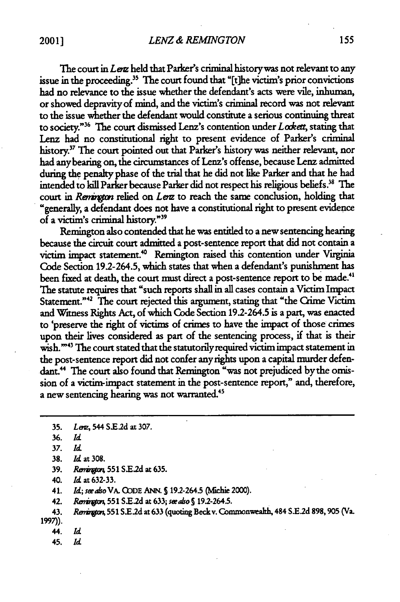The court in *Lenz* held that Parker's criminal history was not relevant to any issue in the proceeding.<sup>35</sup> The court found that "[t]he victim's prior convictions had no relevance to the issue whether the defendant's acts were vile, inhuman, or showed depravity of mind, and the victim's criminal record was not relevant to the issue whether the defendant would constitute a serious continuing threat to society."<sup>36</sup> The court dismissed Lenz's contention under *Lodett*, stating that Lenz had no constitutional right to present evidence of Parker's criminal history." The court pointed out that Parker's history was neither relevant, nor had anybearing on, the circumstances of Lenz's offense, because Lenz admitted during the penalty phase of the trial that he did not like Parker and that he had intended to kill Parker because Parker did not respect his religious beliefs." The court in *Rematgion* relied on Lenz to reach the same conclusion, holding that "generally, a defendant does not have a constitutional right to present evidence of a victim's criminal history."39

Remington also contended that he was entitled to a new sentencing hearing because the circuit court admitted a post-sentence report that did not contain a victim impact statement." Remington raised this contention under Virginia Code Section 192-264.5, which states that when a defendant's punishment has been fixed at death, the court must direct a post-sentence report to be made.<sup>41</sup> The statute requires that "such reports shall in all cases contain a Victim Impact Statement."<sup>42</sup> The court rejected this argument, stating that "the Crime Victim and Winess Rights Act, of which Code Section 192-264.5 is a part, was enacted to 'preserve the right of victims of crimes to have the impact of those crimes upon their lives considered as part of the sentencing process, if that is their wish."<sup>43</sup> The court stated that the statutorily required victim impact statement in the post-sentence report did not confer any rights upon a capital murder defendant.<sup>44</sup> The court also found that Remington "was not prejudiced by the omission of a victim-impact statement in the post-sentence report," and, therefore, a new sentencing hearing was not warranted.<sup>45</sup>

40. *Id* at **632-33.**

41. *Id;* **seealso** *VA.* **ODDE ANI S** 192-2645. **(Mbkie** 2000).

42. **Retiu 551 SX.2d** at **633; saeako S** 19.2-264.5.

43. Renington, 551 S.E.2d at 633 (quoting Beck v. Commonwealth, 484 S.E.2d 898, 905 (Va. 1997)).

- 44. *Id*
- 45. *Id*

**<sup>35.</sup>** *Lmz,* 544 S.E2d **at** 307.

<sup>36.</sup> *Id*

*<sup>37.</sup> Id*

**<sup>38.</sup>** Id at **308.**

**<sup>39.</sup> Rv 551 S.E2d** at **635.**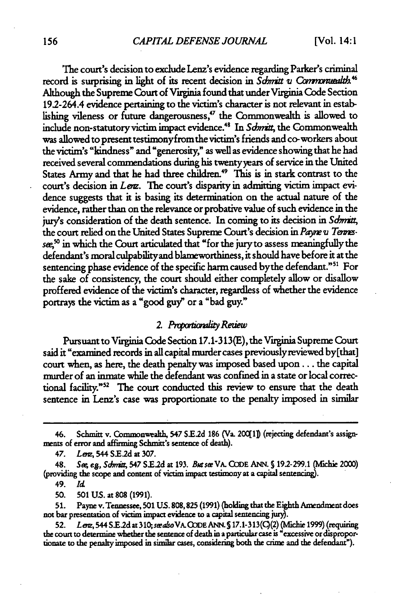The court's decision to exclude Lenz's evidence regarding Parker's criminal record is surprising in light of its recent decision in *Sdmitt v Communealth*<sup>46</sup> Although the Supreme Court of V'iginia found that under Virginia Code Section 192-264.4 evidence pertaining to the victim's character is not relevant in establishing vileness or future dangerousness,"" the Commonwealth is allowed to include non-statutory victim impact evidence.4 In *Sdmit,* the Commonwealth was allowed to present testimonyfrom the victim's friends and co-workers about the victim's "kindness" and "generosity , " as well as evidence showing that he had received several commendations during his twentyyears of service in the United States Army and that he had three children.<sup>49</sup> This is in stark contrast to the court's decision in *Len*z. The court's disparity in admitting victim impact evidence suggests that it is basing its determination on the actual nature of the evidence, rather than on the relevance or probative value of such evidence in the jury's consideration of the death sentence. In coming to its decision in *Sdmia;* the court relied on the United States Supreme Court's decision in *Payne u Terms*see,<sup>50</sup> in which the Court articulated that "for the jury to assess meaningfully the defendant's moral culpabilityand blameworthiness, it should have before it at the sentencing phase evidence of the specific harm caused by the defendant."<sup>51</sup> For the sake of consistency, the court should either completely allow or disallow proffered evidence of the victim's character, regardless of whether the evidence portrays the victim as a "good guy" or a "bad guy."

# *2. Pxwimd Reziew*

Pursuant to Virginia Code Section 17.1-313(E), the Virginia Supreme Court said it "examined records in **all** capital murdercases previouslyreviewed by[that] court when, as here, the death penalty was imposed based upon.., the capital murder of an inmate while the defendant was confined in a state or local correctional facility."<sup>52</sup> The court conducted this review to ensure that the death sentence in Lenz's case was proportionate to the penalty imposed in similar

49. *Id*

**50. 501 US. at 808 (1991).**

51. Payne v. Tennessee, 501 **US.** 808,825 (1991) (holding that the Eighth Amendment does not bar presentation of victim impact evidence to a capital sentencing juzy).

**52.** *Lem,* 544 **S.E.2d** at *310;sealsoVA.O JDEANN.* **5 17.1-313(C)(2)** (Mlclie **1999)** (requiring the court to determine **whether** the sentence of death in a particular case is "excessive ordisproportionate to **the** penalty imposed in similar cases, considering both the crime and the defendant").

<sup>46.</sup> Schmitt v. Commonwealth, 547 **S.E2d 186** (Va. 20011] (rejecting defendant's assignmeats of error and affirming Schmit's sentence of death).

<sup>47.</sup> Lev,, 544 **S.E2d** at **307.**

**<sup>48.</sup> So** *eg, SSnii,* 547 **SE.2d** at **193. Busee** *VA.* **CODE ANN. S 192-299.1** (Mlchie 2000) (providing the scope and content of victim impact testimony at a capital sentencing).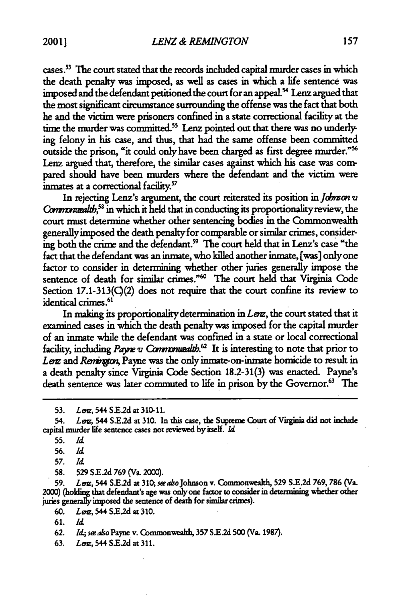cases.<sup>53</sup> The court stated that the records included capital murder cases in which the death penalty was imposed, as well as cases in which a life sentence was imposed and the defendant petitioned the court for an appeal.<sup>54</sup> Lenz argued that the most significant circumstance surrounding the offense was the fact that both he and the victim were prisoners confined in a state correctional facility at the time the murder was committed.<sup>55</sup> Lenz pointed out that there was no underlying felony in his case, and thus, that had the same offense been committed outside the prison, "it could only have been charged as first degree murder."' Lenz argued that, therefore, the similar cases against which his case was compared should have been murders where the defendant and the victim were inmates at a correctional facility.<sup>57</sup>

In rejecting Lenz's argument, the court reiterated its position in Johnson v Commonwealth,<sup>58</sup> in which it held that in conducting its proportionality review, the court must determine whether other sentencing bodies in the Commonwealth generallyimposed the death penalty for comparable or similar crimes, considering both the crime and the defendant. <sup>9</sup>**The** court held that in Lenz's case "the fact that the defendant was an inmate, who killed another inmate, [was] only one factor to consider in determining whether other juries generally impose the sentence of death for similar crimes."<sup>60</sup> The court held that Virginia Code Section 17.1-313(C)(2) does not require that the court confine its review to identical crimes.<sup>61</sup>

In making its proportionalitydetermination in *Lez,* the court stated that it examined cases in which the death penalty was imposed for the capital murder of an inmate while the defendant was confined in a state or local correctional facility, including *Payne v Commonwealth*.<sup>62</sup> It is interesting to note that prior to Lerz and *Remington*, Payne was the only inmate-on-inmate homicide to result in a death penalty since Virginia Code Section 18.2-31(3) was enacted. Payne's death sentence was later commuted to life in prison by the Governor.<sup>63</sup> The

54. *Lerg*, 544 S.E.2d at 310. In this case, the Supreme Court of Virginia did not include capital murder life sentence cases not reviewed **by** itself. *Id*

**58. 529 S.E.2d 769** (Va. 2000).

59. *Lem,* 544 **S.E2d** at 310;, seakoJohnson v. Commonwealth, **529 S.E.2d 769, 786** (Va. 2000) (holding that defendant's age was only one factor to consider in determining whether other juries generally imposed the sentence of death for similar crimes).

**60.** *Lez,* 544 **S.E2d** at 310.

**62.** *Id;* see **also Payne** v. Commonweakh, **357 S.E.2d 500** (Va. **1987).**

**63.** *Len,* 544 **S.E2d** at 311.

**<sup>53.</sup>** Lac, 544 **S.E.2d** at 310-11.

**<sup>55.</sup>** *Id*

**<sup>56.</sup>** *Id*

**<sup>57.</sup>** *Id*

**<sup>61.</sup>** *Id*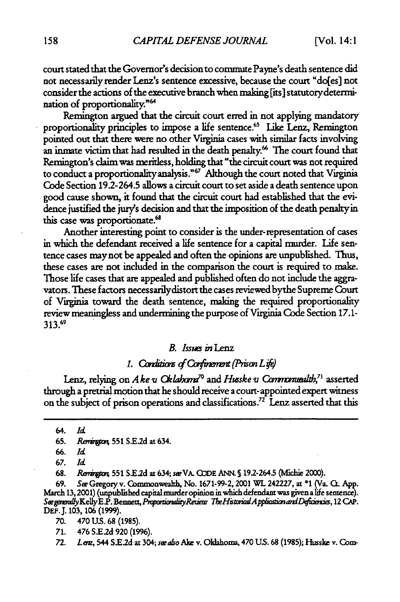court stated that the Governor's decision to commute Payne's death sentence did not necessarily render Lenz's sentence excessive, because the court "do[es] not consider the actions of the executive branch when making [its] statutorydetermination of proportionality."<sup>64</sup>

Remington argued that the circuit court erred in not applying mandatory proportionality principles to impose a life sentence.<sup>65</sup> Like Lenz, Remington pointed out that there were no other Virginia cases with similar facts involving an inmate victim that had resulted in the death penalty.<sup>66</sup> The court found that Remington's claim was meritless, holding that "the circuit court was not required to conduct a proportionality analysis."<sup>67</sup> Although the court noted that Virginia Code Section 192-264.5 allows a circuit court to set aside a death sentence upon good cause shown, it found that the circuit court had established that the evidence justified the jury's decision and that the imposition of the death penalty in this case was proportionate.<sup>68</sup>

Another interesting point to consider is the under-representation of cases in which the defendant received a life sentence for a capital murder. Life sentence cases may not be appealed and often the opinions are unpublished. Thus, these cases are not included in the comparison the court is required to make. Those life cases that are appealed and published often do not include the aggravators. These factors necessarilydistort the cases reviewed bythe Supreme Court of Virginia toward the death sentence, making the required proportionality review meaningless and undermining the purpose of Virginia Code Section 17.1- **313.69**

#### *B. Issues inLenz*

# 1. Conditions of Confinement (Prison Life)

Lenz, relying on *Ake v Oklahoma<sup>70</sup>* and *Husske v Commanuealth*,<sup>71</sup> asserted through a pretrial motion that he should receive a court-appointed expert witness on the subject of prison operations and classifications.<sup>72</sup> Lenz asserted that this

68. *Rw?"* **551** SE.2d at 634; seVA. **(bDE** ANN. **S** 19.2-264.5 *ichi* 2000).

69. Sic Gregory v. Commonwealth, No. 1671-99-2, 2001 WL 242227, at **\*1** (Va. Q. App. **March** 13,2001) (unpublished capital murder opinion in which defendant was given **a** life sentence). See generally Kelly E.P. Bennett, *Proportionality Retiew The Historical Application and Deficiencie*s, 12 CAP. **DEF.J. 103, 106 (1999).**

**70.** 470 **U.S.** 68 (1985).

71. 476 S.E.2d 920 (1996).

*72. Lem,* 544 *S.E2d* at 304; *seealo* Aike v. Oklahoma, 470 US. 68 (1985); Husske v. Corn-

<sup>64.</sup> *Id*

<sup>65.</sup> *Remington*, 551 S.E.2d at 634.

<sup>66.</sup> *Id*

<sup>67.</sup> *Id*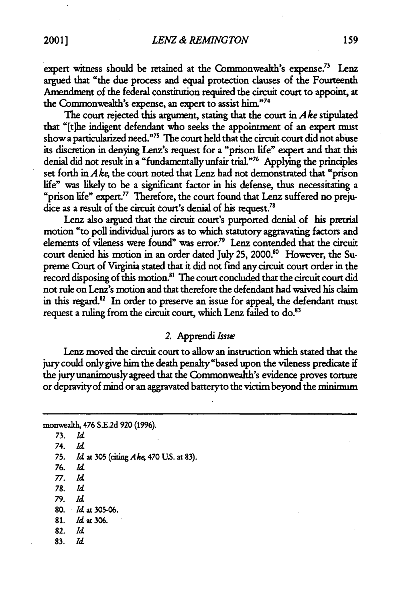expert witness should be retained at the Commonwealth's expense.<sup>73</sup> Lenz argued that "the due process and equal protection clauses of the Fourteenth Amendment of the federal constitution required the circuit court to appoint, at the Commonwealth's expense, an expert to assist him."<sup>74</sup>

The court rejected this argument, stating that the court in *Ake* stipulated that "[t]he indigent defendant who seeks the appointment of an expert must show a particularized need.""3 The court held that the circuit court did not abuse its discretion in denying Lenz's request for a "prison life" expert and that this denial did not result in a "fundamentally unfair trial." 76 Applying the principles set forth in *A* **ke,** the court noted that Lenz had not demonstrated that "prison life" was likely to be a significant factor in his defense, thus necessitating a "prison life" expert." Therefore, the court found that Lenz suffered no prejudice as a result of the circuit court's denial of his request.<sup>78</sup>

Lenz also argued that the circuit court's purported denial of his pretrial motion "to poll individual jurors as to which statutory aggravating factors and elements of vileness were found" was error.<sup>79</sup> Lenz contended that the circuit court denied his motion in an order dated July 25, 2000.<sup>80</sup> However, the Supreme Court of Virginia stated that it did not find any circuit court order in the record disposing of this motion.<sup>81</sup> The court concluded that the circuit court did not rule on Lenz's motion and that therefore the defendant had waived his claim in this regard.<sup>82</sup> In order to preserve an issue for appeal, the defendant must request a ruling from the circuit court, which Lenz failed to do.<sup>83</sup>

# *2.* Apprendi *Issue*

Lenz moved the circuit court to allow an instruction which stated that the jury could only give him the death penalty "based upon the vileness predicate if the jury unanimously agreed that the Commonwealth's evidence proves torture or depravity of mind or an aggravated batteryto the victim beyond the minimum

```
monweah, 476 SE.2d 920 (1996).
73. Id
74. Id
75. Id at 305 (ciing Ake, 470 US. at 83).
76. Id
77. Id
78. Id
79. Id
80. Id at 305-06.
81. Id at 306.
82. Id
83. Id
```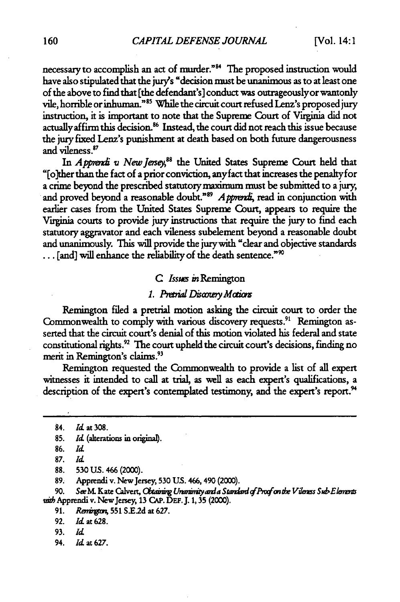necessary to accomplish an act of murder."<sup>84</sup> The proposed instruction would have also stipulated that the jury's "decision must be unanimous as to at least one of the above to find that [the defendant's] conduct was outrageouslyor wantonly vile, horrible or inhuman."<sup>85</sup> While the circuit court refused Lenz's proposed jury instruction, it is important to note that the Supreme Court of Virginia did not actually affirm this decision.<sup>86</sup> Instead, the court did not reach this issue because the jury fixed Lenz's punishment at death based on both future dangerousness and vileness.87

In *Apprendi v New Jersey*,<sup>88</sup> the United States Supreme Court held that "[o]ther than the fact of a prior conviction, anyfact that increases the penalty for a crime beyond the prescribed statutory maximum must be submitted to a jury, and proved beyond a reasonable doubt."<sup>89</sup> Apprendi, read in conjunction with earlier cases from the United States Supreme Court, appears to require the Virginia courts to provide jury instructions that require the **jury** to find each statutory aggravator and each vileness subelement beyond a reasonable doubt and unanimously. This will provide the jurywith "clear and objective standards **...** [and] will enhance the reliability of the death sentence."'

#### *C Issus in* Remington

# 1. Pretrial Discovery Motions

Remington filed a pretrial motion asking the circuit court to order the Commonwealth to comply with various discovery requests.<sup>91</sup> Remington asserted that the circuit court's denial of this motion violated his federal and state constitutional rights.<sup>92</sup> The court upheld the circuit court's decisions, finding no merit in Remington's claims.<sup>93</sup>

Remington requested the Commonwealth to provide a list of all expert witnesses it intended to call at trial, as well as each expert's qualifications, a description of the expert's contemplated testimony, and the expert's report.<sup>94</sup>

90. *SwM* Kate *Calvert, Cbig Uhmn\* 'yda Sra dqfPtifcun d VilM Ss&ElnmM* with Apprendi v. New Jersey, 13 CAP. DEF. J. 1, 35 (2000).

- **93.** *Id*
- 94. *Id* at 627.

**<sup>84.</sup> Id** at **308.**

<sup>85.</sup> *Id.* (alterations in original).

**<sup>86.</sup>** *Id*

**<sup>87.</sup>** *Id*

**<sup>88. 530</sup> US.** 466 (2000).

**<sup>89.</sup>** Apprendi v. New Jersey, 530 **US.** 466, 490 (2000).

<sup>91.</sup> *Rwit;* **551 SEld** at **627.**

<sup>92.</sup> *Id* at 628.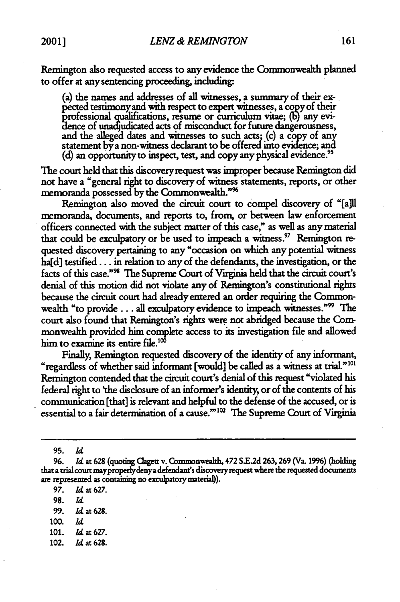Remington also requested access to any evidence the Commonwealth planned to offer at any sentencing proceeding, including:

(a) the names and addresses of all witnesses, a summary of their expected testimony and with respect to expert witnesses, **a copyof** their professional qualifications, resume or curriculum vitae; (b) any evidence of unadjudicated acts of misconduct for future dangerousness, and the alleged dates and witnesses to such acts; (c) a copy of any statement by a non-witness declarant to be offered into evidence; and (d) an opportunity to inspect, test, and copy any physical evidence.<sup>95</sup>

The court held that this discoveryrequest was improper because Remington did not have a "general right to discovery of witness statements, reports, or other memoranda possessed by the Commonwealth."<sup>%</sup>

Remington also moved the circuit court to compel discovery of "[a]ll memoranda, documents, and reports to, from, or between law enforcement officers connected with the subject matter of this case," as well as any material that could be exculpatory or be used to impeach a witness.<sup>97</sup> Remington requested discovery pertaining to any "occasion on which any potential witness ha[d] testifed... in relation to any of the defendants, the investigation, or the facts of this case."<sup>98</sup> The Supreme Court of Virginia held that the circuit court's denial of this motion did not violate any of Remington's constitutional rights because the circuit court had already entered an order requiring the Commonwealth "to provide . . . all exculpatory evidence to impeach witnesses."<sup>99</sup> The court also found that Remington's rights were not abridged because the Conmonwealth provided him complete access to its investigation file and allowed him to examine its entire file.<sup>100</sup>

Finally, Remington requested discovery of the identity of any informant, "regardless of whether said informant [would] be called as a witness at trial."<sup>101</sup> Remington contended that the circuit court's denial of this request "violated his federal right to 'the disclosure of an informer's identity, or of the contents of his communication [that] is relevant and helpful to the defense of the accused, or is essential to a fair determination of a cause."<sup>102</sup> The Supreme Court of Virginia

**95.** *Id*

- **98.** *Id*
- **99.** *Id* at **628.**
- *100. Id*
- 101. *Id* at 627.
- 102. *Id* at 628.

*<sup>96.</sup> Id* at **628** (quoting Clagett **v.** Commonwealh, 472 **S.E2d 263,269** (Va. **1996)** (holding that a trial court mayproperlydenya defendant's discoveryrequest where the requested documents are represented as containing no exculpatory material)).

**<sup>97.</sup>** *Id* at 627.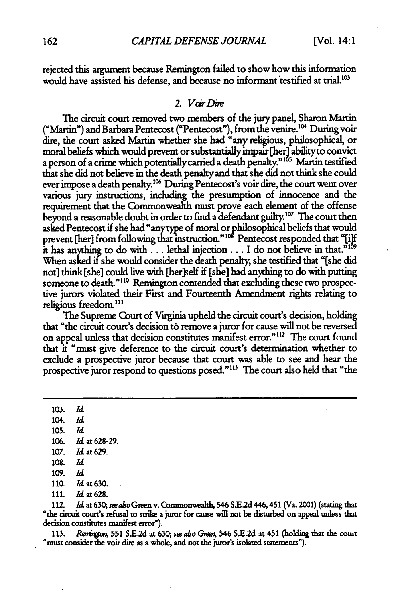rejected this argument because Remington failed to show how this information would have assisted his defense, and because no informant testified at trial.<sup>103</sup>

#### *2* Vair *Die*

The circuit court removed two members of the jury panel, Sharon Martin ("Martin") and Barbara Pentecost ("Pentecost"), fromthe venire. 14 Duringvoir dire, the court asked Martin whether she had "any religious, philosophical, or moral beliefs which would prevent or substantially impair [her] ability to convict a person of a crime which potentially carried a death penalty."<sup>105</sup> Martin testified that she did not believe in the death penalty and that she did not think she could ever impose a death penalty.<sup>106</sup> During Pentecost's voir dire, the court went over various jury instructions, including the presumption of innocence and the requirement that the Commonwealth nmst prove each element of the offense beyond a reasonable doubt in order to find a defendant guilty.107 The court then asked Pentecost if she had "anytype of moral orphilosophical beliefs that would prevent [her] from following that instruction."<sup>108</sup> Pentecost responded that "[i] it has anything to do with... lethal injection ... I do not believe in that."<sup>16</sup> When asked if she would consider the death penalty, she testified that "[she did not] think [she] could live with [her]self if [she] had anything to do with putting someone to death."<sup>110</sup> Remington contended that excluding these two prospective jurors violated their First and Fourteenth Amendment rights relating to religious freedom.<sup>111</sup>

The Supreme Court of Virginia upheld the circuit court's decision, holding that "the circuit court's decision to remove a juror for cause will not be reversed on appeal unless that decision constitutes manifest error."<sup>112</sup> The court found that it "must give deference to the circuit court's determination whether to exclude a prospective juror because that court was able to see and hear the prospective juror respond to questions posed."<sup>113</sup> The court also held that "the

103. *Id* 104. *Id* **105.** *Id* 106. Id at **628-29. 107. Id** at **629. 108. Id. 109.** *Id* **110.** Id at **630.**

**111. Id** at **628.**

112. *Id* **at 630; see also** Green v. Commonwealth, 546 **SE.2d** 446,451 (Va. 2001) (stating that "the circuit court's refusal to strike a juror for cause will not be disturbed on appeal unless that decision constitutes manifest error").

113. *Renington*, 551 S.E.2d at 630; *see also Green*, 546 S.E.2d at 451 (holding that the court "must consider the voir dire as a whole, and not the juror's isolated statements").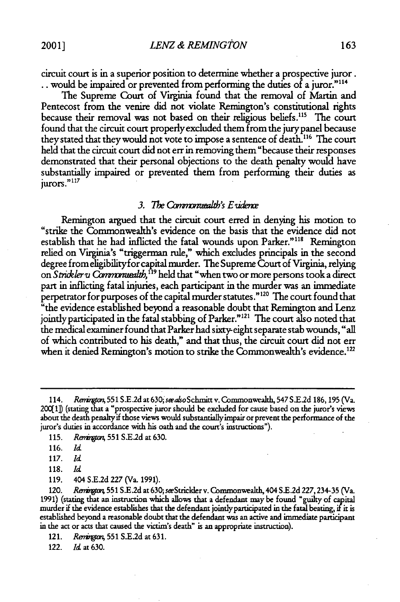circuit court is in a superior position to determine whether a prospective juror. would be impaired or prevented from performing the duties of a juror."114

The Supreme Court of Virginia found that the removal of Martin and Pentecost from the venire did not violate Remington's constitutional rights because their removal was not based on their religious beliefs.<sup>115</sup> The court found that the circuit court properly excluded them from the jury panel because they stated that theywould not vote to impose a sentence of death.116 The court held that the circuit court did not err in removing them "because their responses demonstrated that their personal objections to the death penalty would have substantially impaired or prevented them from performing their duties as jurors." *<sup>117</sup>*

#### *3. The Commonuealth's Exidence*

Remington argued that the circuit court erred in denying his motion to "strike the Commonwealth's evidence on the basis that the evidence did not establish that he had inflicted the fatal wounds upon Parker."<sup>118</sup> Remington relied on Virginia's "triggerman rule," which excludes principals in the second degree from eligibilityfor capital murder. The Supreme Court of Virginia, relying on *Strickler u Commonwealth*,<sup>119</sup> held that "when two or more persons took a direct part in inflicting fatal injuries, each participant in the murder was an immediate perpetrator for purposes of the capital murder statutes."<sup>120</sup> The court found that <sup>"</sup>the evidence established beyond a reasonable doubt that Remington and Lenz jointly participated in the fatal stabbing of Parker."<sup>121</sup> The court also noted that the medical examiner found that Parker had sixty-eight separate stab wounds, "all of which contributed to his death," and that thus, the circuit court did not err when it denied Remington's motion to strike the Commonwealth's evidence.<sup>122</sup>

<sup>114.</sup> *Renington*, 551 S.E.2d at 630; *see also* Schmitt v. Commonwealth, 547 S.E.2d 186, 195 (Va. 2001j (stating that a "prospective juror should be excluded for cause based on the juror's views about the death penaltyif those views would substantiallyimpair or prevent the performance of the juror's duties in accordance with his oath and the court's instructions").

<sup>115.</sup> *Rnrgtm,* 551 S.E2d at 630.

<sup>116.</sup> *Id*

<sup>117.</sup> *Id*

<sup>118.</sup> *Id*

<sup>119. 404</sup> S.E.2d 227 (Va. 1991).

<sup>120.</sup> *Renington*, 551 S.E.2d at 630; see Strickler v. Commonwealth, 404 S.E.2d 227, 234-35 (Va. 1991) (stating that an instruction which allows that a defendant may be found "guilty of capital murder if the evidence establishes that the defendant jointlyparticipated in the fatal beating, if it is established beyond a reasonable doubt that the defendant was an active and immediate participant in the act or acts that caused the victim's death" is an appropriate instruction).

<sup>121.</sup> *Rerrbjcm* 551 S.E.2d at 631.

<sup>122.</sup> *Id.* at 630.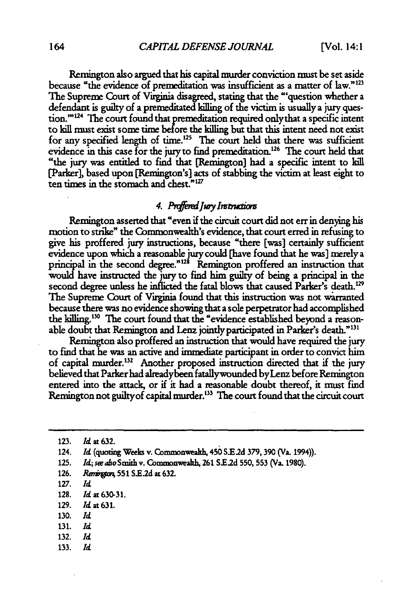Remington also argued that his capital murder conviction must be set aside because "the evidence of premeditation was insufficient as a matter of law."<sup>123</sup> The Supreme Court of Virginia disagreed, stating that the "'question whether a defendant is guilty of a premeditated killing of the victim is usually a **jury ques**tion. $124$  The court found that premeditation required only that a specific intent to kill must exist some time before the killing but that this intent need not exist for any specified length of time.<sup>125</sup> The court held that there was sufficient evidence in this case for the jury to find premeditation.<sup>126</sup> The court held that "the jury was entitled to find that [Remington] had a specific intent to kill [Parker], based upon [Remington's] acts of stabbing the victim at least eight to ten times in the stomach and chest." $127$ 

# 4. Proffered Jury Instructions

Remington asserted that "even if the circuit court did not err in denying his motion to strike" the Commonwealth's evidence, that court erred in refusing to give his proffered jury instructions, because "there [was] certainly sufficient evidence upon which a reasonable jury could [have found that he was] merely a principal in the second degree."<sup>128</sup> Remington proffered an instruction that would have instructed the jury to find him guilty of being a principal in the second degree unless he inflicted the fatal blows that caused Parker's death.<sup>129</sup> The Supreme Court of Virginia found that this instruction was not wirranted because there was no evidence showing that a sole perpetrator had accomplished the killing.<sup>130</sup> The court found that the "evidence established beyond a reasonable doubt that Remington and Lenz jointly participated in Parker's death."<sup>131</sup>

Remington also proffered an instruction that would have required the jury to find that he was an active and immediate participant in order to convict him of capital murder.<sup>132</sup> Another proposed instruction directed that if the jury believed that Parker had alreadybeen fatallywounded byLenz before Remington entered into the attack, or if it had a reasonable doubt thereof, it must find Remington not guilty of capital murder.<sup>133</sup> The court found that the circuit court

- 125. *Id; swalso* Smith v. Commonvveh, 261 **SE.2d 550, 553** (Va. 1980).
- 126. *Remington*, 551 S.E.2d at 632.
- 127. *Id*
- 128. *Id* at **630-31.**
- 129. *Id* at 631.
- **130.** *Id*
- 131. *Id*
- 132. *Id*
- 133. *Id*

**<sup>123.</sup>** *Id* at **632.**

<sup>124.</sup> *Id.* (quoting Weeks v. Commonwealth, 450 S.E.2d 379, 390 (Va. 1994)).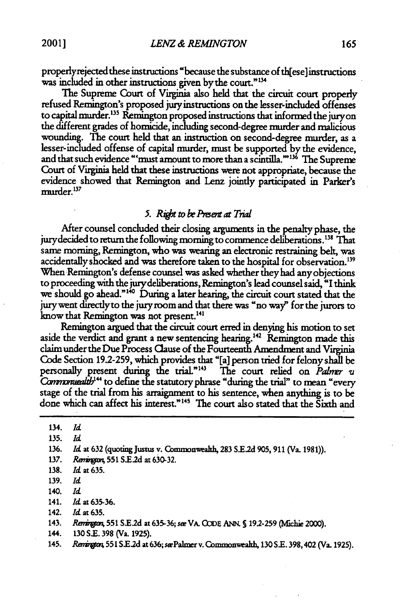properlyrejected these instructions "because the substance of th[ese]instructions was included in other instructions given by the court."<sup>134</sup><br>The Supreme Court of Virginia also held that the circuit court properly

refused Remington's proposed jury instructions on the lesser-included offenses to capital murder.13 Remington proposed instructions that informed the juryon the different grades of homicide, including second-degree murder and malicious wounding. **The** court held that an instruction on second-degree murder, as a lesser-included offense of capital murder, must be supported **by** the evidence, and that such evidence "'must amount to more than a scintilla."<sup>136</sup> The Supreme<br>Court of Virginia held that these instructions were not appropriate, because the evidence showed that Remington and Lenz jointly participated in Parker's murder.<sup>137</sup>

# *5. Right to be Present at Trial*

After counsel concluded their dosing arguments in the penalty phase, the jury decided to return the following morning to commence deliberations.<sup>138</sup> That same moming, Remington, who was wearing an electronic restraining belt, was accidentally shocked and was therefore taken to the hospital for observation.' When Remington's defense counsel was asked whether they had any objections to proceeding with the jurydeliberations, Remington's lead counsel said, "I think we should go ahead."<sup>140</sup> During a later hearing, the circuit court stated that the jurywent directlyto the juryroom and that there was "no way' for the jurors to know that Remington was not present. <sup>4</sup> '

Remington argued that the circuit court erred in denying his motion to set aside the verdict and grant a new sentencing hearing.<sup>142</sup> Remington made this claim under the Due Process Clause of the Fourteenth Amendment and Virginia Code Section 19.2-259, which provides that "[a] person tried for felony shall be personally present during the trial."<sup>143</sup> The court relied on *Palmer vi* Commonuealth<sup>144</sup> to define the statutory phrase "during the trial" to mean "every stage of the trial from his arraignment to his sentence, when anything is to be done which can affect his interest."<sup>145</sup> The court also stated that the Sixth and

134. *Id* **135.** *Id* 136. *Id* at **632** (quoting Justus v. Commonwealth, **283 S.E.2d 905,** 911 (Va. 1981)). **137.** *Rarir"* **551** S.E2d at **630-32.** 138. **Id** at **635.** 139. *Id* 140. *Id* 141. *Id* at **635-36.** 142. *Id* at **635.**

- 144. **130 S.E. 398** (Va. **1925).**
- 145. *Reai"* **551 Sl2d** at636; sePalmer v. Coxnmonweakh, **130 SE.** 398,402 (Va. 1925).

<sup>143.</sup> *Rmir* **551 S.E2d** at **635-36;** see VA. **QJDE** ANN. **S 192-259** (vfihie 2000).